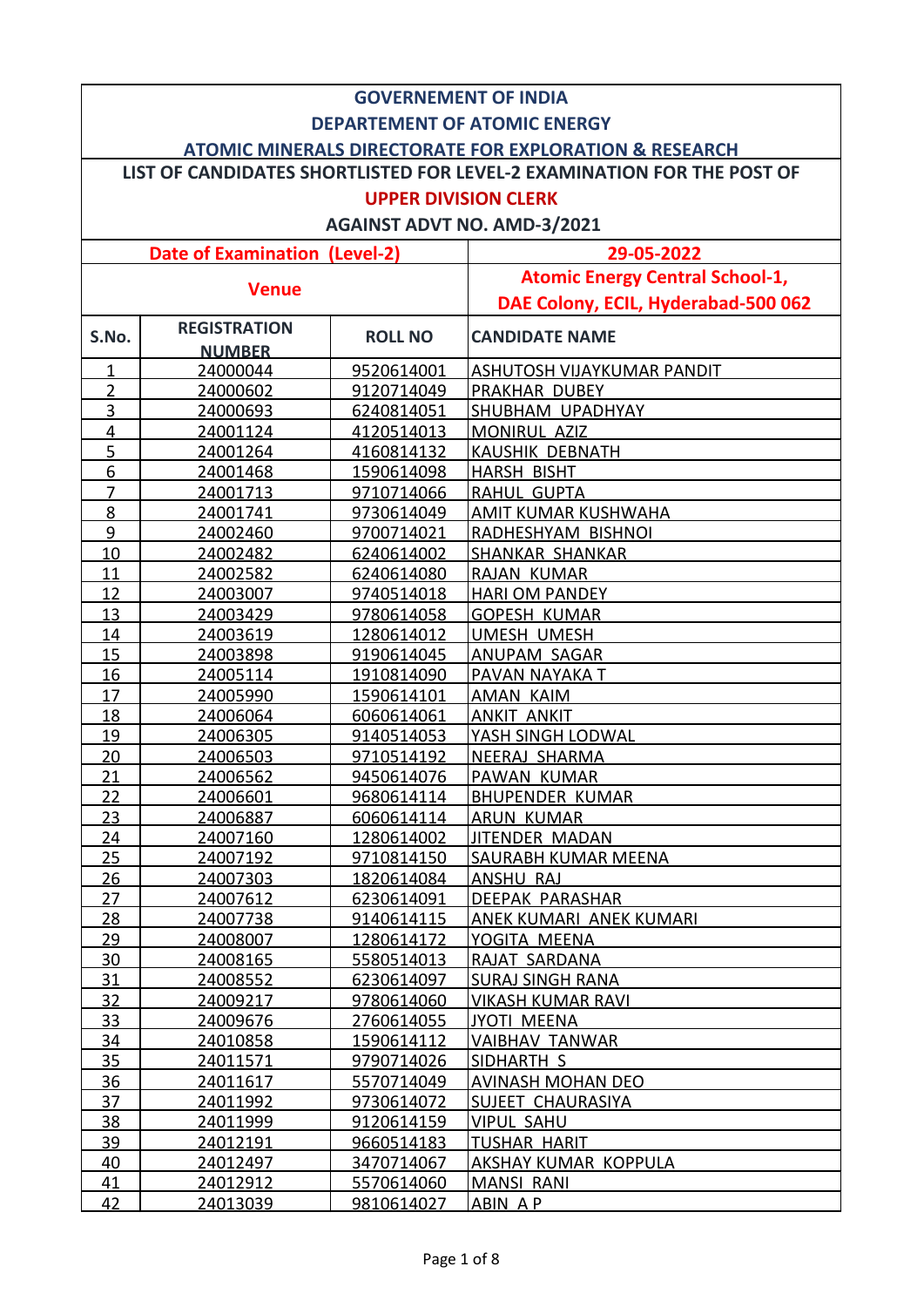|                | <b>GOVERNEMENT OF INDIA</b>                                            |                   |                                        |  |  |
|----------------|------------------------------------------------------------------------|-------------------|----------------------------------------|--|--|
|                | <b>DEPARTEMENT OF ATOMIC ENERGY</b>                                    |                   |                                        |  |  |
|                |                                                                        |                   |                                        |  |  |
|                | <b>ATOMIC MINERALS DIRECTORATE FOR EXPLORATION &amp; RESEARCH</b>      |                   |                                        |  |  |
|                | LIST OF CANDIDATES SHORTLISTED FOR LEVEL-2 EXAMINATION FOR THE POST OF |                   |                                        |  |  |
|                |                                                                        |                   | <b>UPPER DIVISION CLERK</b>            |  |  |
|                |                                                                        |                   | <b>AGAINST ADVT NO. AMD-3/2021</b>     |  |  |
|                | <b>Date of Examination (Level-2)</b>                                   |                   | 29-05-2022                             |  |  |
|                |                                                                        |                   | <b>Atomic Energy Central School-1,</b> |  |  |
|                | <b>Venue</b>                                                           |                   | DAE Colony, ECIL, Hyderabad-500 062    |  |  |
| S.No.          | <b>REGISTRATION</b><br><b>NUMBER</b>                                   | <b>ROLL NO</b>    | <b>CANDIDATE NAME</b>                  |  |  |
| 1              | 24000044                                                               | 9520614001        | ASHUTOSH VIJAYKUMAR PANDIT             |  |  |
| $\overline{2}$ | 24000602                                                               | 9120714049        | PRAKHAR DUBEY                          |  |  |
| 3              | 24000693                                                               | 6240814051        | SHUBHAM UPADHYAY                       |  |  |
| 4              | 24001124                                                               | 4120514013        | MONIRUL AZIZ                           |  |  |
| $\overline{5}$ | 24001264                                                               | 4160814132        | <b>KAUSHIK DEBNATH</b>                 |  |  |
| 6              | 24001468                                                               | 1590614098        | <b>HARSH BISHT</b>                     |  |  |
| $\overline{7}$ | 24001713                                                               | 9710714066        | <b>RAHUL GUPTA</b>                     |  |  |
| 8              | 24001741                                                               | 9730614049        | AMIT KUMAR KUSHWAHA                    |  |  |
| 9              | 24002460                                                               | 9700714021        | RADHESHYAM BISHNOI                     |  |  |
| 10             | 24002482                                                               | 6240614002        | <b>SHANKAR SHANKAR</b>                 |  |  |
| 11             | 24002582                                                               | 6240614080        | RAJAN KUMAR                            |  |  |
| 12             | 24003007                                                               | 9740514018        | <b>HARI OM PANDEY</b>                  |  |  |
| 13             | 24003429                                                               | 9780614058        | <b>GOPESH KUMAR</b>                    |  |  |
| 14             | 24003619                                                               | 1280614012        | UMESH UMESH                            |  |  |
| 15             | 24003898                                                               | 9190614045        | ANUPAM SAGAR                           |  |  |
| 16             | 24005114                                                               | 1910814090        | PAVAN NAYAKA T                         |  |  |
| 17             | 24005990                                                               | 1590614101        | AMAN KAIM                              |  |  |
| 18             | 24006064                                                               | 6060614061        | <b>ANKIT ANKIT</b>                     |  |  |
| 19             | 24006305                                                               | 9140514053        | YASH SINGH LODWAL                      |  |  |
| 20             | 24006503                                                               | 9710514192        | <b>NEERAJ SHARMA</b>                   |  |  |
| 21             | 24006562                                                               | 9450614076        | PAWAN KUMAR                            |  |  |
| 22             | 24006601                                                               | 9680614114        | <b>BHUPENDER KUMAR</b>                 |  |  |
| 23             | 24006887                                                               | 6060614114        | <u>ARUN KUMAR</u>                      |  |  |
| 24             | 24007160                                                               | 1280614002        | JITENDER MADAN                         |  |  |
| 25             | 24007192                                                               | 9710814150        | SAURABH KUMAR MEENA                    |  |  |
| 26             | 24007303                                                               | 1820614084        | ANSHU RAJ                              |  |  |
| 27             | 24007612                                                               | 6230614091        | DEEPAK PARASHAR                        |  |  |
| 28             | 24007738                                                               | 9140614115        | ANEK KUMARI ANEK KUMARI                |  |  |
| <u>29</u>      | 24008007                                                               | 1280614172        | YOGITA MEENA                           |  |  |
| 30             | 24008165                                                               | 5580514013        | RAJAT SARDANA                          |  |  |
| 31             | 24008552                                                               | 6230614097        | <b>SURAJ SINGH RANA</b>                |  |  |
| 32             | 24009217                                                               | 9780614060        | <b>VIKASH KUMAR RAVI</b>               |  |  |
| 33             | 24009676                                                               | 2760614055        | JYOTI MEENA                            |  |  |
| 34             | 24010858                                                               | <u>1590614112</u> | <b>VAIBHAV TANWAR</b>                  |  |  |
| 35             | 24011571                                                               | 9790714026        | <b>SIDHARTH S</b>                      |  |  |
| 36             | 24011617                                                               | 5570714049        | <b>AVINASH MOHAN DEO</b>               |  |  |
| 37             | 24011992                                                               | 9730614072        | SUJEET CHAURASIYA                      |  |  |
| 38             | 24011999                                                               | 9120614159        | <b>VIPUL SAHU</b>                      |  |  |
| 39             | 24012191                                                               | 9660514183        | <b>TUSHAR HARIT</b>                    |  |  |
| 40             | 24012497                                                               | 3470714067        | <u>AKSHAY KUMAR KOPPULA</u>            |  |  |
| 41             | 24012912                                                               | 5570614060        | <b>MANSI RANI</b>                      |  |  |
| 42             | 24013039                                                               | 9810614027        | ABIN AP                                |  |  |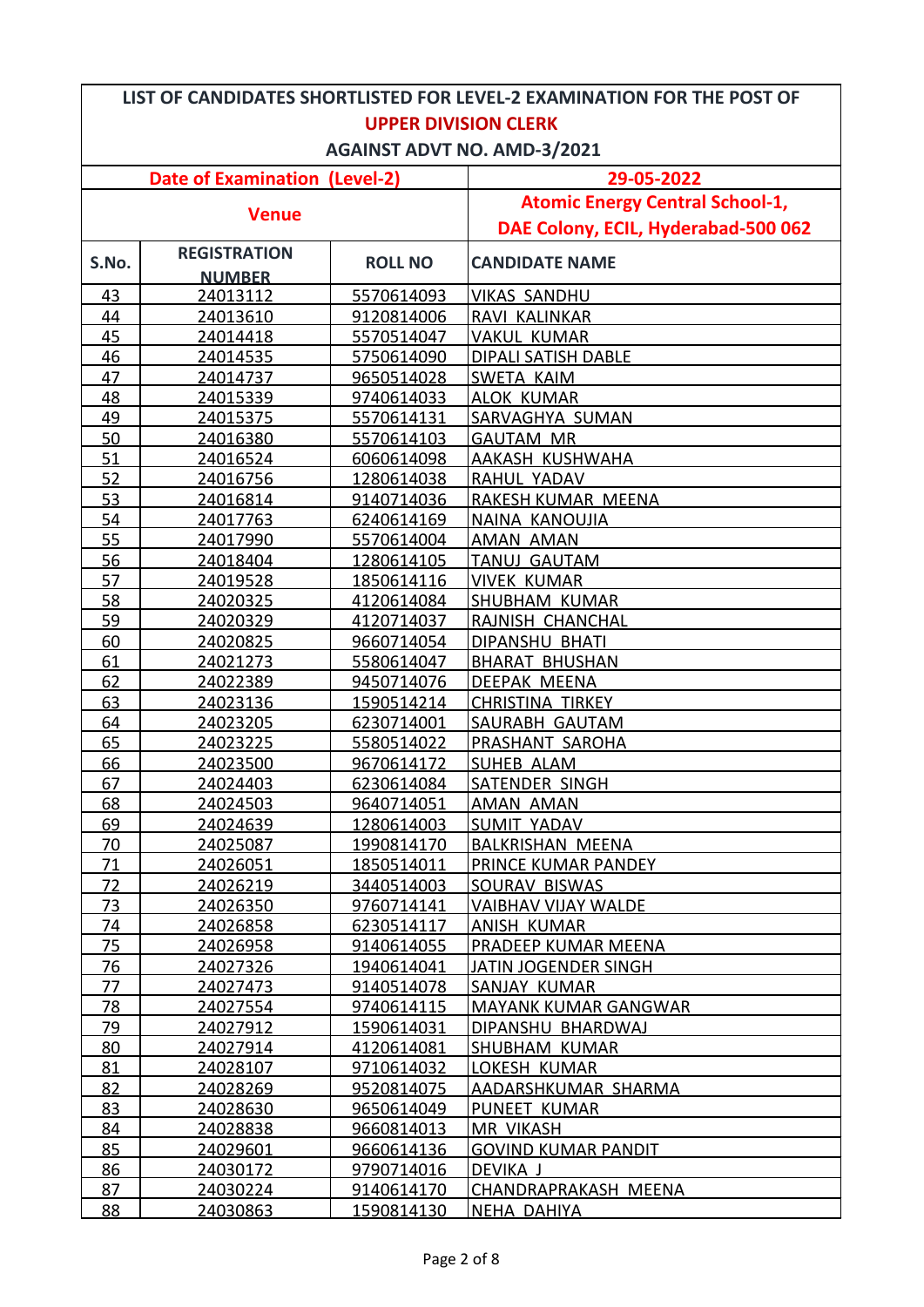| LIST OF CANDIDATES SHORTLISTED FOR LEVEL-2 EXAMINATION FOR THE POST OF |                      |                          |                                                  |  |
|------------------------------------------------------------------------|----------------------|--------------------------|--------------------------------------------------|--|
| <b>UPPER DIVISION CLERK</b>                                            |                      |                          |                                                  |  |
| <b>AGAINST ADVT NO. AMD-3/2021</b>                                     |                      |                          |                                                  |  |
| <b>Date of Examination (Level-2)</b>                                   |                      |                          | 29-05-2022                                       |  |
|                                                                        |                      |                          | <b>Atomic Energy Central School-1,</b>           |  |
| <b>Venue</b>                                                           |                      |                          | DAE Colony, ECIL, Hyderabad-500 062              |  |
| S.No.                                                                  | <b>REGISTRATION</b>  | <b>ROLL NO</b>           | <b>CANDIDATE NAME</b>                            |  |
|                                                                        | <b>NUMBER</b>        |                          |                                                  |  |
| 43                                                                     | 24013112             | <u>5570614093</u>        | <b>VIKAS SANDHU</b>                              |  |
| 44                                                                     | 24013610             | 9120814006               | RAVI KALINKAR                                    |  |
| 45                                                                     | 24014418             | 5570514047               | <b>VAKUL KUMAR</b>                               |  |
| 46                                                                     | 24014535             | 5750614090               | <b>DIPALI SATISH DABLE</b>                       |  |
| 47                                                                     | 24014737             | 9650514028               | <b>SWETA KAIM</b>                                |  |
| 48                                                                     | 24015339             | 9740614033               | <b>ALOK KUMAR</b>                                |  |
| 49                                                                     | 24015375             | 5570614131               | SARVAGHYA SUMAN                                  |  |
| 50                                                                     | 24016380             | 5570614103               | <b>GAUTAM MR</b>                                 |  |
| 51                                                                     | 24016524             | 6060614098               | AAKASH KUSHWAHA                                  |  |
| 52                                                                     | 24016756             | 1280614038               | RAHUL YADAV                                      |  |
| 53                                                                     | 24016814             | 9140714036               | RAKESH KUMAR MEENA                               |  |
| 54                                                                     | 24017763             | 6240614169               | NAINA KANOUJIA                                   |  |
| 55                                                                     | 24017990             | 5570614004               | <b>AMAN AMAN</b>                                 |  |
| 56                                                                     | 24018404             | 1280614105               | <b>TANUJ GAUTAM</b>                              |  |
| 57                                                                     | 24019528             | 1850614116               | <b>VIVEK KUMAR</b>                               |  |
| 58                                                                     | 24020325             | 4120614084               | <b>SHUBHAM KUMAR</b>                             |  |
| 59                                                                     | 24020329             | 4120714037               | RAJNISH CHANCHAL                                 |  |
| 60                                                                     | 24020825             | 9660714054               | <b>DIPANSHU BHATI</b>                            |  |
| 61                                                                     | 24021273             | 5580614047               | <b>BHARAT BHUSHAN</b>                            |  |
| 62                                                                     | 24022389             | 9450714076               | <b>DEEPAK MEENA</b>                              |  |
| 63                                                                     | 24023136             | 1590514214               | <b>CHRISTINA TIRKEY</b>                          |  |
| 64                                                                     | 24023205             | 6230714001               | SAURABH GAUTAM                                   |  |
| 65                                                                     | 24023225             | 5580514022               | PRASHANT SAROHA                                  |  |
| 66                                                                     | 24023500             | 9670614172               | <b>SUHEB ALAM</b>                                |  |
| 67                                                                     | 24024403             | 6230614084               | <b>SATENDER SINGH</b>                            |  |
| 68                                                                     | 24024503             | 9640714051               | <b>AMAN AMAN</b>                                 |  |
| 69                                                                     | 24024639             | 1280614003               | SUMIT YADAV                                      |  |
| 70                                                                     | 24025087             | <u>1990814170</u>        | <b>BALKRISHAN MEENA</b>                          |  |
| 71                                                                     | 24026051             | <u>1850514011</u>        | PRINCE KUMAR PANDEY                              |  |
| 72                                                                     | 24026219             | 3440514003               | SOURAV BISWAS                                    |  |
| 73                                                                     | 24026350             | 9760714141               | <b>VAIBHAV VIJAY WALDE</b>                       |  |
| 74                                                                     | 24026858             | 6230514117               | ANISH KUMAR                                      |  |
| 75                                                                     | 24026958             | 9140614055               | PRADEEP KUMAR MEENA                              |  |
| 76                                                                     | 24027326             | 1940614041               | <u>JATIN JOGENDER SINGH</u>                      |  |
| 77                                                                     | 24027473             | 9140514078               | SANJAY KUMAR                                     |  |
| 78<br>79                                                               | 24027554<br>24027912 | 9740614115<br>1590614031 | <b>MAYANK KUMAR GANGWAR</b><br>DIPANSHU BHARDWAJ |  |
| 80                                                                     | 24027914             | <u>4120614081</u>        | SHUBHAM KUMAR                                    |  |
| 81                                                                     | 24028107             | 9710614032               | LOKESH KUMAR                                     |  |
| 82                                                                     | 24028269             | 9520814075               | AADARSHKUMAR SHARMA                              |  |
| 83                                                                     | 24028630             | 9650614049               | PUNEET KUMAR                                     |  |
| 84                                                                     | 24028838             | 9660814013               | <b>MR VIKASH</b>                                 |  |
| 85                                                                     | 24029601             | 9660614136               | <b>GOVIND KUMAR PANDIT</b>                       |  |
| 86                                                                     | 24030172             | 9790714016               | DEVIKA J                                         |  |
| 87                                                                     | 24030224             | 9140614170               | CHANDRAPRAKASH MEENA                             |  |
| 88                                                                     | <u>24030863</u>      | 1590814130               | NEHA DAHIYA                                      |  |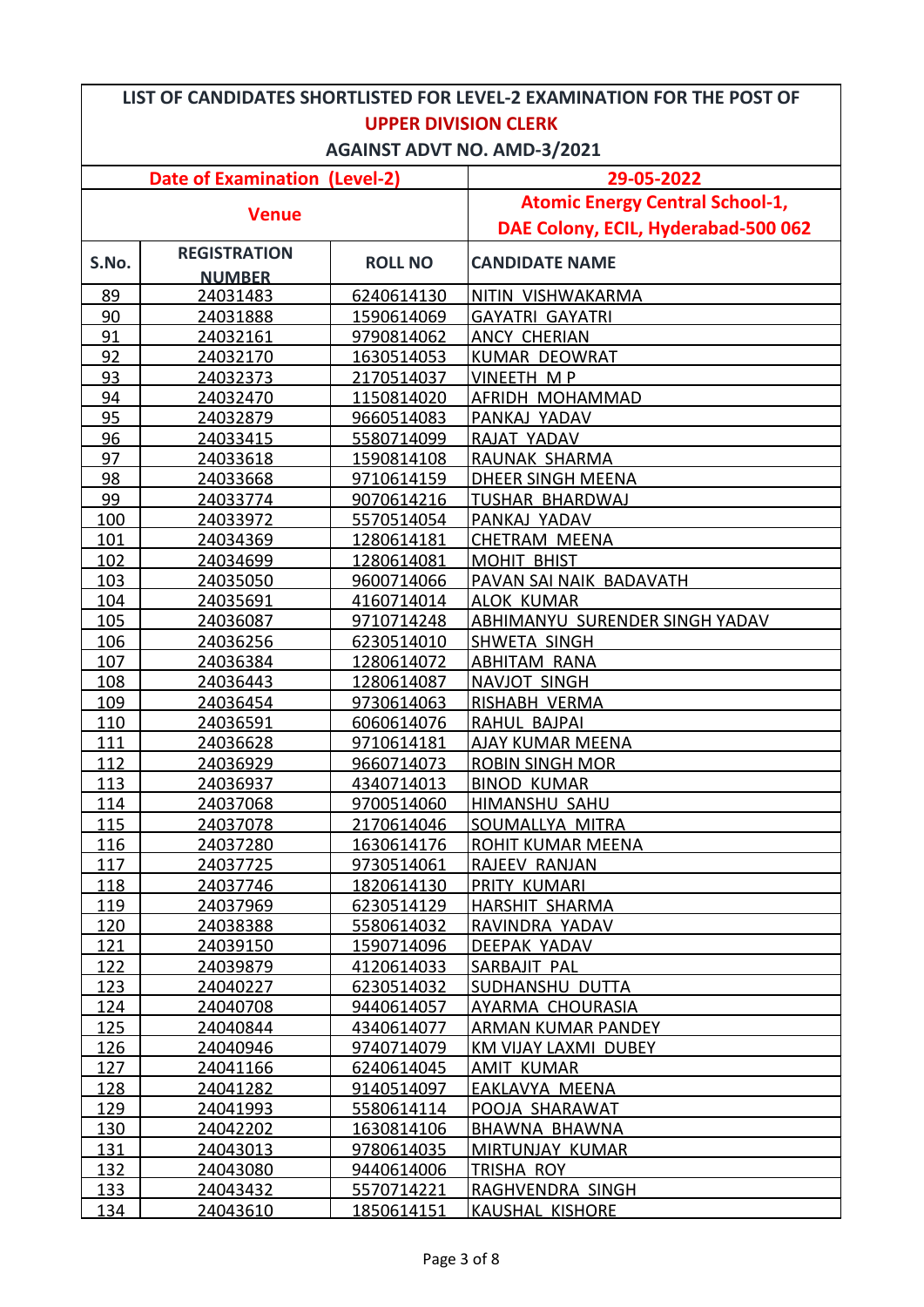| LIST OF CANDIDATES SHORTLISTED FOR LEVEL-2 EXAMINATION FOR THE POST OF |                      |                          |                                        |  |
|------------------------------------------------------------------------|----------------------|--------------------------|----------------------------------------|--|
| <b>UPPER DIVISION CLERK</b>                                            |                      |                          |                                        |  |
| <b>AGAINST ADVT NO. AMD-3/2021</b>                                     |                      |                          |                                        |  |
| <b>Date of Examination (Level-2)</b>                                   |                      |                          | 29-05-2022                             |  |
|                                                                        |                      |                          | <b>Atomic Energy Central School-1,</b> |  |
| <b>Venue</b>                                                           |                      |                          | DAE Colony, ECIL, Hyderabad-500 062    |  |
|                                                                        | <b>REGISTRATION</b>  |                          |                                        |  |
| S.No.                                                                  | <b>NUMBER</b>        | <b>ROLL NO</b>           | <b>CANDIDATE NAME</b>                  |  |
| 89                                                                     | 24031483             | 6240614130               | NITIN VISHWAKARMA                      |  |
| 90                                                                     | 24031888             | 1590614069               | <b>GAYATRI GAYATRI</b>                 |  |
| 91                                                                     | 24032161             | 9790814062               | <b>ANCY CHERIAN</b>                    |  |
| 92                                                                     | 24032170             | 1630514053               | <b>KUMAR DEOWRAT</b>                   |  |
| 93                                                                     | 24032373             | 2170514037               | <b>VINEETH MP</b>                      |  |
| 94                                                                     | 24032470             | 1150814020               | AFRIDH MOHAMMAD                        |  |
| 95                                                                     | 24032879             | 9660514083               | PANKAJ YADAV                           |  |
| 96                                                                     | 24033415             | 5580714099               | RAJAT YADAV                            |  |
| 97                                                                     | 24033618             | 1590814108               | RAUNAK SHARMA                          |  |
| 98                                                                     | 24033668             | 9710614159               | <b>DHEER SINGH MEENA</b>               |  |
| 99                                                                     | 24033774             | 9070614216               | <b>TUSHAR BHARDWAJ</b>                 |  |
| 100                                                                    | 24033972             | 5570514054               | PANKAJ YADAV                           |  |
| 101                                                                    | 24034369             | 1280614181               | <b>CHETRAM MEENA</b>                   |  |
| 102                                                                    | 24034699             | 1280614081               | <b>MOHIT BHIST</b>                     |  |
| 103                                                                    | 24035050             | 9600714066               | PAVAN SAI NAIK BADAVATH                |  |
| 104                                                                    | 24035691             | 4160714014               | <b>ALOK KUMAR</b>                      |  |
| 105                                                                    | 24036087             | 9710714248               | ABHIMANYU SURENDER SINGH YADAV         |  |
| 106                                                                    | 24036256             | 6230514010               | SHWETA SINGH                           |  |
| 107                                                                    | 24036384             | 1280614072               | <b>ABHITAM RANA</b>                    |  |
| 108                                                                    | 24036443             | 1280614087               | NAVJOT SINGH                           |  |
| 109                                                                    | 24036454             | 9730614063               | RISHABH VERMA                          |  |
| 110                                                                    | 24036591             | 6060614076               | RAHUL BAJPAI                           |  |
| 111                                                                    | 24036628             | 9710614181               | <b>AJAY KUMAR MEENA</b>                |  |
| 112                                                                    | 24036929             | 9660714073               | <b>ROBIN SINGH MOR</b>                 |  |
| 113                                                                    | 24036937             | 4340714013               | <b>BINOD KUMAR</b>                     |  |
| 114                                                                    | 24037068             | 9700514060               | <b>HIMANSHU SAHU</b>                   |  |
| <u>115</u>                                                             | 24037078             | 2170614046               | SOUMALLYA MITRA                        |  |
| 116                                                                    | 24037280             | 1630614176               | ROHIT KUMAR MEENA                      |  |
| 117                                                                    | 24037725             | 9730514061               | RAJEEV RANJAN                          |  |
| 118                                                                    | 24037746             | 1820614130               | PRITY KUMARI                           |  |
| 119                                                                    | 24037969             | 6230514129               | <b>HARSHIT SHARMA</b>                  |  |
| 120                                                                    | 24038388             | 5580614032               | RAVINDRA YADAV                         |  |
| 121                                                                    | 24039150             | 1590714096               | DEEPAK YADAV                           |  |
| 122                                                                    | 24039879             | 4120614033               | SARBAJIT PAL                           |  |
| 123                                                                    | 24040227             | 6230514032               | <b>SUDHANSHU DUTTA</b>                 |  |
| 124                                                                    | 24040708             | 9440614057               | <b>AYARMA CHOURASIA</b>                |  |
| 125                                                                    | 24040844             | 4340614077               | ARMAN KUMAR PANDEY                     |  |
| 126<br>127                                                             | 24040946             | 9740714079<br>6240614045 | KM VIJAY LAXMI DUBEY                   |  |
| 128                                                                    | 24041166             | 9140514097               | <b>AMIT KUMAR</b><br>EAKLAVYA MEENA    |  |
| 129                                                                    | 24041282<br>24041993 | 5580614114               | POOJA SHARAWAT                         |  |
| 130                                                                    | 24042202             | 1630814106               | <b>BHAWNA BHAWNA</b>                   |  |
| 131                                                                    | 24043013             | 9780614035               | <b>MIRTUNJAY KUMAR</b>                 |  |
| 132                                                                    | 24043080             | 9440614006               | <u>TRISHA ROY</u>                      |  |
| 133                                                                    | 24043432             | 5570714221               | RAGHVENDRA SINGH                       |  |
| 134                                                                    | 24043610             | 1850614151               | KAUSHAL KISHORE                        |  |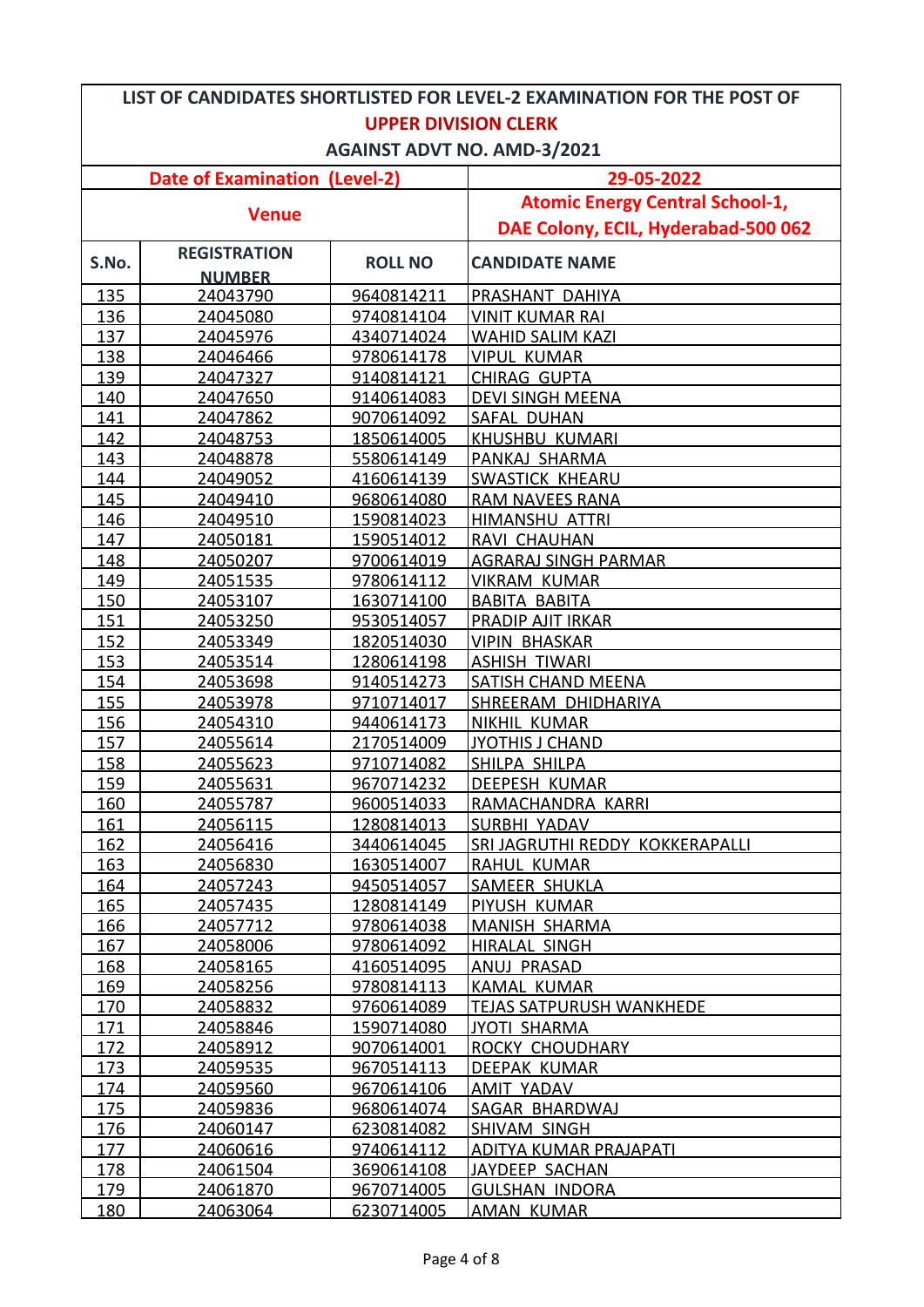| LIST OF CANDIDATES SHORTLISTED FOR LEVEL-2 EXAMINATION FOR THE POST OF |                      |                          |                                         |  |
|------------------------------------------------------------------------|----------------------|--------------------------|-----------------------------------------|--|
| <b>UPPER DIVISION CLERK</b>                                            |                      |                          |                                         |  |
| <b>AGAINST ADVT NO. AMD-3/2021</b>                                     |                      |                          |                                         |  |
| <b>Date of Examination (Level-2)</b>                                   |                      |                          | 29-05-2022                              |  |
|                                                                        |                      |                          | <b>Atomic Energy Central School-1,</b>  |  |
| <b>Venue</b>                                                           |                      |                          | DAE Colony, ECIL, Hyderabad-500 062     |  |
|                                                                        | <b>REGISTRATION</b>  |                          |                                         |  |
| S.No.                                                                  | <b>NUMBER</b>        | <b>ROLL NO</b>           | <b>CANDIDATE NAME</b>                   |  |
| 135                                                                    | 24043790             | 9640814211               | PRASHANT DAHIYA                         |  |
| <u>136</u>                                                             | 24045080             | 9740814104               | <b>VINIT KUMAR RAI</b>                  |  |
| 137                                                                    | 24045976             | 4340714024               | <b>WAHID SALIM KAZI</b>                 |  |
| 138                                                                    | 24046466             | 9780614178               | <b>VIPUL KUMAR</b>                      |  |
| 139                                                                    | 24047327             | 9140814121               | <b>CHIRAG GUPTA</b>                     |  |
| 140                                                                    | 24047650             | 9140614083               | <b>DEVI SINGH MEENA</b>                 |  |
| 141                                                                    | 24047862             | 9070614092               | <b>SAFAL DUHAN</b>                      |  |
| 142                                                                    | 24048753             | 1850614005               | <b>KHUSHBU KUMARI</b>                   |  |
| 143                                                                    | 24048878             | 5580614149               | PANKAJ SHARMA                           |  |
| 144                                                                    | 24049052             | 4160614139               | <b>SWASTICK KHEARU</b>                  |  |
| 145                                                                    | 24049410             | 9680614080               | <b>RAM NAVEES RANA</b>                  |  |
| 146                                                                    | 24049510             | 1590814023               | <b>HIMANSHU ATTRI</b>                   |  |
| 147                                                                    | 24050181             | 1590514012               | RAVI CHAUHAN                            |  |
| 148                                                                    | 24050207             | 9700614019               | <b>AGRARAJ SINGH PARMAR</b>             |  |
| 149                                                                    | 24051535             | 9780614112               | <b>VIKRAM KUMAR</b>                     |  |
| 150                                                                    | 24053107             | 1630714100               | <b>BABITA BABITA</b>                    |  |
| 151                                                                    | 24053250             | 9530514057               | <b>PRADIP AJIT IRKAR</b>                |  |
| 152                                                                    | 24053349             | 1820514030               | <b>VIPIN BHASKAR</b>                    |  |
| 153                                                                    | 24053514             | 1280614198               | <b>ASHISH TIWARI</b>                    |  |
| 154                                                                    | 24053698             | 9140514273               | <b>SATISH CHAND MEENA</b>               |  |
| 155                                                                    | 24053978             | 9710714017               | SHREERAM DHIDHARIYA                     |  |
| 156                                                                    | 24054310             | 9440614173               | NIKHIL KUMAR                            |  |
| 157                                                                    | 24055614             | 2170514009               | <b>JYOTHIS J CHAND</b>                  |  |
| 158                                                                    | 24055623             | 9710714082               | SHILPA SHILPA                           |  |
| 159                                                                    | 24055631             | 9670714232               | <b>DEEPESH KUMAR</b>                    |  |
| 160                                                                    | 24055787             | 9600514033               | RAMACHANDRA KARRI                       |  |
| 161                                                                    | 24056115             | 1280814013               | SURBHI YADAV                            |  |
| 162                                                                    | 24056416             | 3440614045               | SRI JAGRUTHI REDDY KOKKERAPALLI         |  |
| 163                                                                    | 24056830             | 1630514007               | RAHUL KUMAR                             |  |
| 164                                                                    | 24057243             | 9450514057               | <b>SAMEER SHUKLA</b>                    |  |
| 165                                                                    | 24057435             | 1280814149               | PIYUSH KUMAR                            |  |
| 166                                                                    | 24057712             | 9780614038               | <b>MANISH SHARMA</b>                    |  |
| <u>167</u>                                                             | 24058006             | 9780614092               | <b>HIRALAL SINGH</b>                    |  |
| 168                                                                    | 24058165             | 4160514095               | <b>ANUJ PRASAD</b>                      |  |
| 169                                                                    | 24058256             | 9780814113               | <b>KAMAL KUMAR</b>                      |  |
| 170                                                                    | 24058832             | 9760614089               | <b>TEJAS SATPURUSH WANKHEDE</b>         |  |
| 171                                                                    | 24058846             | 1590714080               | <b>JYOTI SHARMA</b>                     |  |
| 172                                                                    | <u>24058912</u>      | 9070614001               | <b>ROCKY CHOUDHARY</b>                  |  |
| 173                                                                    | 24059535             | 9670514113               | <b>DEEPAK KUMAR</b>                     |  |
| 174                                                                    | 24059560             | 9670614106               | AMIT YADAV                              |  |
| 175                                                                    | 24059836             | 9680614074               | SAGAR BHARDWAJ                          |  |
| <u>176</u>                                                             | 24060147             | 6230814082               | <b>SHIVAM SINGH</b>                     |  |
| 177                                                                    | 24060616             | 9740614112               | <b>ADITYA KUMAR PRAJAPATI</b>           |  |
| 178<br>179                                                             | 24061504             | 3690614108<br>9670714005 | JAYDEEP SACHAN<br><b>GULSHAN INDORA</b> |  |
| 180                                                                    | 24061870<br>24063064 | 6230714005               | AMAN KUMAR                              |  |
|                                                                        |                      |                          |                                         |  |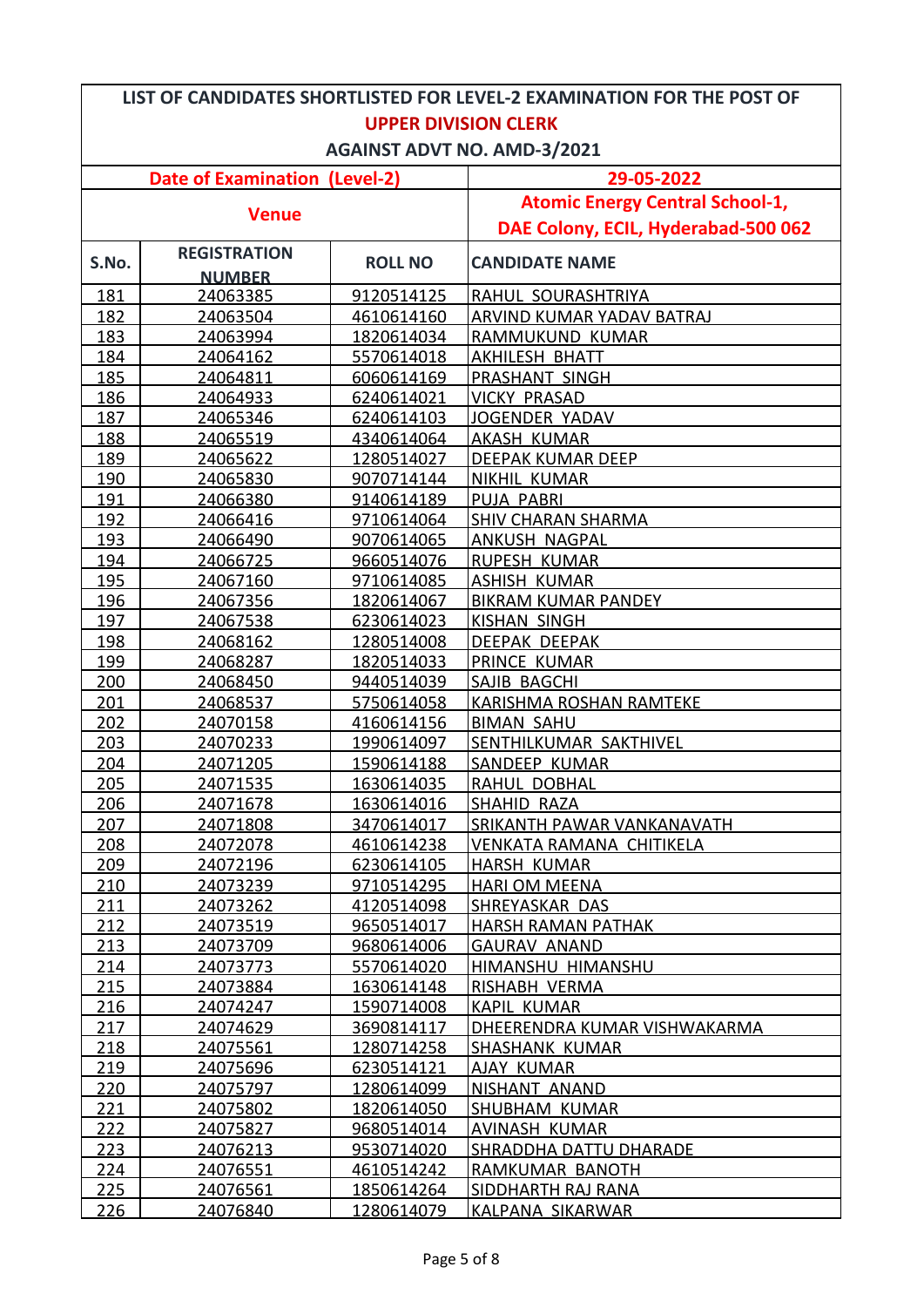| LIST OF CANDIDATES SHORTLISTED FOR LEVEL-2 EXAMINATION FOR THE POST OF |                     |                   |                                        |  |
|------------------------------------------------------------------------|---------------------|-------------------|----------------------------------------|--|
| <b>UPPER DIVISION CLERK</b>                                            |                     |                   |                                        |  |
| <b>AGAINST ADVT NO. AMD-3/2021</b>                                     |                     |                   |                                        |  |
| <b>Date of Examination (Level-2)</b>                                   |                     |                   | 29-05-2022                             |  |
| <b>Venue</b>                                                           |                     |                   | <b>Atomic Energy Central School-1,</b> |  |
|                                                                        |                     |                   | DAE Colony, ECIL, Hyderabad-500 062    |  |
| S.No.                                                                  | <b>REGISTRATION</b> | <b>ROLL NO</b>    | <b>CANDIDATE NAME</b>                  |  |
|                                                                        | <b>NUMBER</b>       |                   |                                        |  |
| 181                                                                    | 24063385            | 9120514125        | RAHUL SOURASHTRIYA                     |  |
| 182                                                                    | 24063504            | 4610614160        | ARVIND KUMAR YADAV BATRAJ              |  |
| 183                                                                    | 24063994            | 1820614034        | RAMMUKUND KUMAR                        |  |
| 184                                                                    | 24064162            | 5570614018        | <b>AKHILESH BHATT</b>                  |  |
| 185                                                                    | 24064811            | 6060614169        | <b>PRASHANT SINGH</b>                  |  |
| 186                                                                    | 24064933            | 6240614021        | <b>VICKY PRASAD</b>                    |  |
| 187                                                                    | 24065346            | 6240614103        | JOGENDER YADAV                         |  |
| 188                                                                    | 24065519            | 4340614064        | <b>AKASH KUMAR</b>                     |  |
| 189                                                                    | 24065622            | 1280514027        | <b>DEEPAK KUMAR DEEP</b>               |  |
| 190                                                                    | 24065830            | 9070714144        | <b>NIKHIL KUMAR</b>                    |  |
| 191                                                                    | 24066380            | 9140614189        | PUJA PABRI                             |  |
| 192                                                                    | 24066416            | 9710614064        | <b>SHIV CHARAN SHARMA</b>              |  |
| 193                                                                    | 24066490            | 9070614065        | <b>ANKUSH NAGPAL</b>                   |  |
| 194                                                                    | 24066725            | 9660514076        | <b>RUPESH KUMAR</b>                    |  |
| 195                                                                    | 24067160            | 9710614085        | <b>ASHISH KUMAR</b>                    |  |
| 196                                                                    | 24067356            | 1820614067        | <b>BIKRAM KUMAR PANDEY</b>             |  |
| 197                                                                    | 24067538            | 6230614023        | <b>KISHAN SINGH</b>                    |  |
| 198                                                                    | 24068162            | 1280514008        | DEEPAK DEEPAK                          |  |
| 199                                                                    | 24068287            | 1820514033        | PRINCE KUMAR                           |  |
| 200                                                                    | 24068450            | 9440514039        | SAJIB BAGCHI                           |  |
| 201                                                                    | 24068537            | 5750614058        | <b>KARISHMA ROSHAN RAMTEKE</b>         |  |
| 202                                                                    | 24070158            | 4160614156        | <b>BIMAN SAHU</b>                      |  |
| 203                                                                    | 24070233            | 1990614097        | SENTHILKUMAR SAKTHIVEL                 |  |
| 204                                                                    | 24071205            | 1590614188        | SANDEEP KUMAR                          |  |
| 205                                                                    | 24071535            | 1630614035        | RAHUL DOBHAL                           |  |
| 206                                                                    | 24071678            | 1630614016        | <b>SHAHID RAZA</b>                     |  |
| 207                                                                    | 24071808            | 3470614017        | <b>SRIKANTH PAWAR VANKANAVATH</b>      |  |
| 208                                                                    | 24072078            | 4610614238        | VENKATA RAMANA CHITIKELA               |  |
| 209                                                                    | 24072196            | 6230614105        | HARSH KUMAR                            |  |
| 210                                                                    | 24073239            | 9710514295        | <b>HARI OM MEENA</b>                   |  |
| 211                                                                    | 24073262            | 4120514098        | SHREYASKAR DAS                         |  |
| 212                                                                    | 24073519            | 9650514017        | <b>HARSH RAMAN PATHAK</b>              |  |
| 213                                                                    | <u>24073709</u>     | 9680614006        | <b>GAURAV ANAND</b>                    |  |
| 214                                                                    | 24073773            | 5570614020        | <b>HIMANSHU HIMANSHU</b>               |  |
| 215                                                                    | 24073884            | 1630614148        | RISHABH VERMA                          |  |
| 216                                                                    | 24074247            | 1590714008        | <b>KAPIL KUMAR</b>                     |  |
| 217                                                                    | 24074629            | <u>3690814117</u> | DHEERENDRA KUMAR VISHWAKARMA           |  |
| 218                                                                    | 24075561            | 1280714258        | <b>SHASHANK KUMAR</b>                  |  |
| 219                                                                    | 24075696            | 6230514121        | AJAY KUMAR                             |  |
| 220                                                                    | 24075797            | 1280614099        | NISHANT ANAND                          |  |
| 221                                                                    | 24075802            | 1820614050        | SHUBHAM KUMAR                          |  |
| 222                                                                    | 24075827            | 9680514014        | AVINASH KUMAR                          |  |
| 223                                                                    | <u>24076213</u>     | 9530714020        | <b>SHRADDHA DATTU DHARADE</b>          |  |
| 224                                                                    | 24076551            | 4610514242        | RAMKUMAR BANOTH                        |  |
| 225                                                                    | 24076561            | 1850614264        | SIDDHARTH RAJ RANA                     |  |
| 226                                                                    | 24076840            | 1280614079        | KALPANA SIKARWAR                       |  |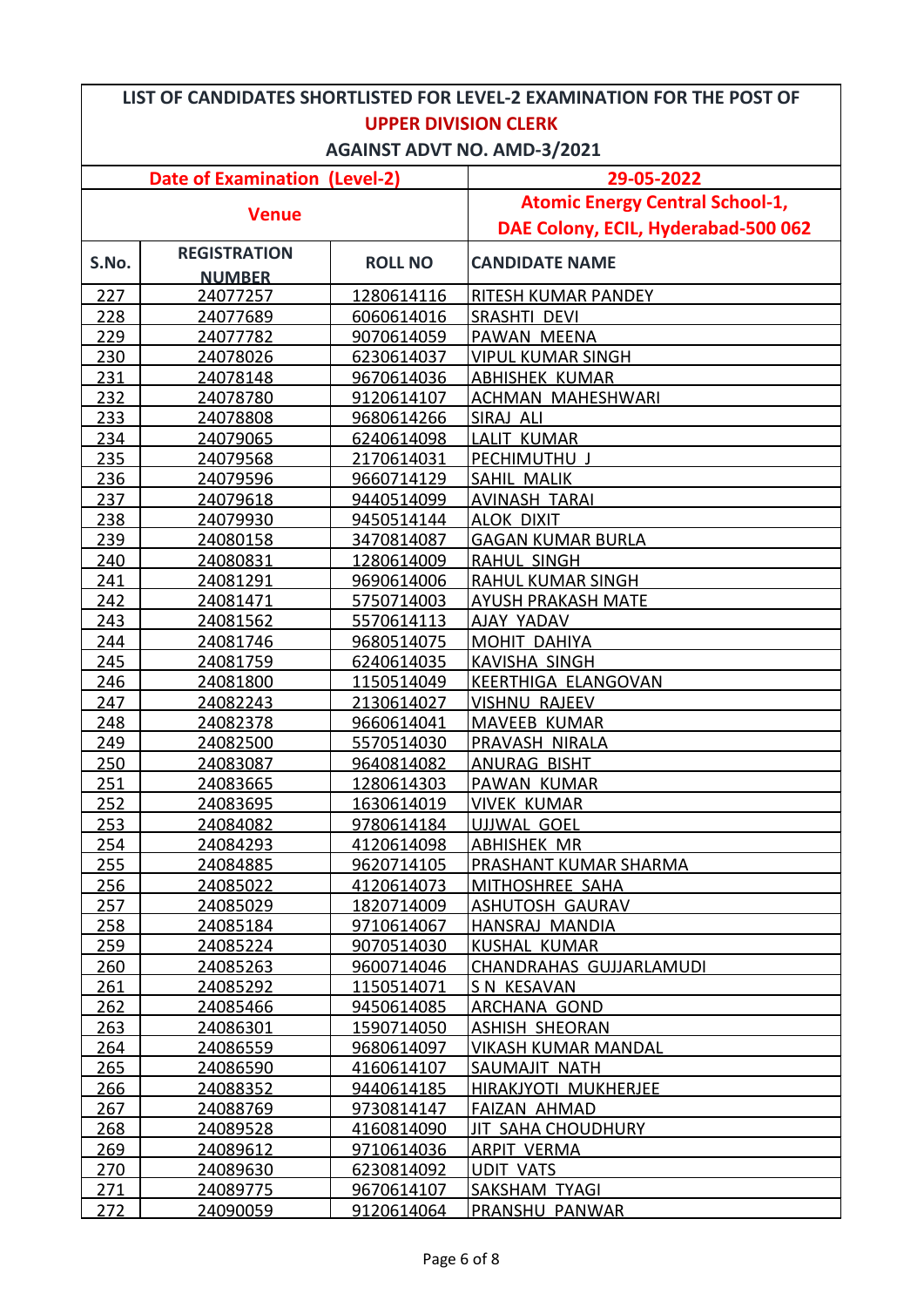| LIST OF CANDIDATES SHORTLISTED FOR LEVEL-2 EXAMINATION FOR THE POST OF |                     |                   |                                        |  |
|------------------------------------------------------------------------|---------------------|-------------------|----------------------------------------|--|
| <b>UPPER DIVISION CLERK</b>                                            |                     |                   |                                        |  |
| <b>AGAINST ADVT NO. AMD-3/2021</b>                                     |                     |                   |                                        |  |
| <b>Date of Examination (Level-2)</b>                                   |                     |                   | 29-05-2022                             |  |
|                                                                        |                     |                   | <b>Atomic Energy Central School-1,</b> |  |
| <b>Venue</b>                                                           |                     |                   | DAE Colony, ECIL, Hyderabad-500 062    |  |
|                                                                        | <b>REGISTRATION</b> |                   |                                        |  |
| S.No.                                                                  | <b>NUMBER</b>       | <b>ROLL NO</b>    | <b>CANDIDATE NAME</b>                  |  |
| 227                                                                    | 24077257            | 1280614116        | <b>RITESH KUMAR PANDEY</b>             |  |
| 228                                                                    | 24077689            | 6060614016        | <b>SRASHTI DEVI</b>                    |  |
| 229                                                                    | 24077782            | 9070614059        | PAWAN MEENA                            |  |
| 230                                                                    | 24078026            | 6230614037        | <b>VIPUL KUMAR SINGH</b>               |  |
| 231                                                                    | 24078148            | 9670614036        | <b>ABHISHEK KUMAR</b>                  |  |
| 232                                                                    | 24078780            | 9120614107        | <b>ACHMAN MAHESHWARI</b>               |  |
| 233                                                                    | 24078808            | 9680614266        | SIRAJ ALI                              |  |
| 234                                                                    | 24079065            | 6240614098        | LALIT KUMAR                            |  |
| 235                                                                    | 24079568            | 2170614031        | PECHIMUTHU J                           |  |
| 236                                                                    | 24079596            | 9660714129        | <b>SAHIL MALIK</b>                     |  |
| 237                                                                    | 24079618            | 9440514099        | <b>AVINASH TARAI</b>                   |  |
| 238                                                                    | 24079930            | 9450514144        | <b>ALOK DIXIT</b>                      |  |
| 239                                                                    | 24080158            | 3470814087        | <b>GAGAN KUMAR BURLA</b>               |  |
| 240                                                                    | 24080831            | 1280614009        | <b>RAHUL SINGH</b>                     |  |
| 241                                                                    | 24081291            | 9690614006        | <b>RAHUL KUMAR SINGH</b>               |  |
| 242                                                                    | 24081471            | 5750714003        | <b>AYUSH PRAKASH MATE</b>              |  |
| 243                                                                    | 24081562            | 5570614113        | <b>AJAY YADAV</b>                      |  |
| 244                                                                    | 24081746            | 9680514075        | MOHIT DAHIYA                           |  |
| 245                                                                    | 24081759            | 6240614035        | <b>KAVISHA SINGH</b>                   |  |
| 246                                                                    | 24081800            | 1150514049        | KEERTHIGA ELANGOVAN                    |  |
| 247                                                                    | 24082243            | 2130614027        | <b>VISHNU RAJEEV</b>                   |  |
| 248                                                                    | 24082378            | 9660614041        | <b>MAVEEB KUMAR</b>                    |  |
| 249                                                                    | 24082500            | 5570514030        | PRAVASH NIRALA                         |  |
| 250                                                                    | 24083087            | 9640814082        | <b>ANURAG BISHT</b>                    |  |
| 251                                                                    | 24083665            | 1280614303        | <b>PAWAN KUMAR</b>                     |  |
| 252                                                                    | 24083695            | 1630614019        | <b>VIVEK KUMAR</b>                     |  |
| 253                                                                    | 24084082            | 9780614184        | <b>UJJWAL GOEL</b>                     |  |
| 254                                                                    | 24084293            | 4120614098        | <b>ABHISHEK MR</b>                     |  |
| 255                                                                    | 24084885            | 9620714105        | PRASHANT KUMAR SHARMA                  |  |
| 256                                                                    | 24085022            | 4120614073        | MITHOSHREE SAHA                        |  |
| 257                                                                    | 24085029            | 1820714009        | <b>ASHUTOSH GAURAV</b>                 |  |
| 258                                                                    | 24085184            | 9710614067        | <u>HANSRAJ MANDIA</u>                  |  |
| 259                                                                    | 24085224            | 9070514030        | <b>KUSHAL KUMAR</b>                    |  |
| 260                                                                    | <u>24085263</u>     | 9600714046        | CHANDRAHAS GUJJARLAMUDI                |  |
| 261                                                                    | 24085292            | 1150514071        | S N KESAVAN                            |  |
| 262                                                                    | 24085466            | 9450614085        | <b>ARCHANA GOND</b>                    |  |
| 263                                                                    | 24086301            | <u>1590714050</u> | ASHISH SHEORAN                         |  |
| 264                                                                    | 24086559            | 9680614097        | <b>VIKASH KUMAR MANDAL</b>             |  |
| 265                                                                    | 24086590            | 4160614107        | SAUMAJIT NATH                          |  |
| 266                                                                    | 24088352            | 9440614185        | <b>HIRAKJYOTI MUKHERJEE</b>            |  |
| 267                                                                    | 24088769            | 9730814147        | <b>FAIZAN AHMAD</b>                    |  |
| 268                                                                    | 24089528            | 4160814090        | <b>JIT SAHA CHOUDHURY</b>              |  |
| 269                                                                    | 24089612            | 9710614036        | <b>ARPIT VERMA</b>                     |  |
| 270                                                                    | 24089630            | 6230814092        | <b>UDIT VATS</b>                       |  |
| 271                                                                    | 24089775            | 9670614107        | SAKSHAM TYAGI                          |  |
| 272                                                                    | 24090059            | 9120614064        | PRANSHU PANWAR                         |  |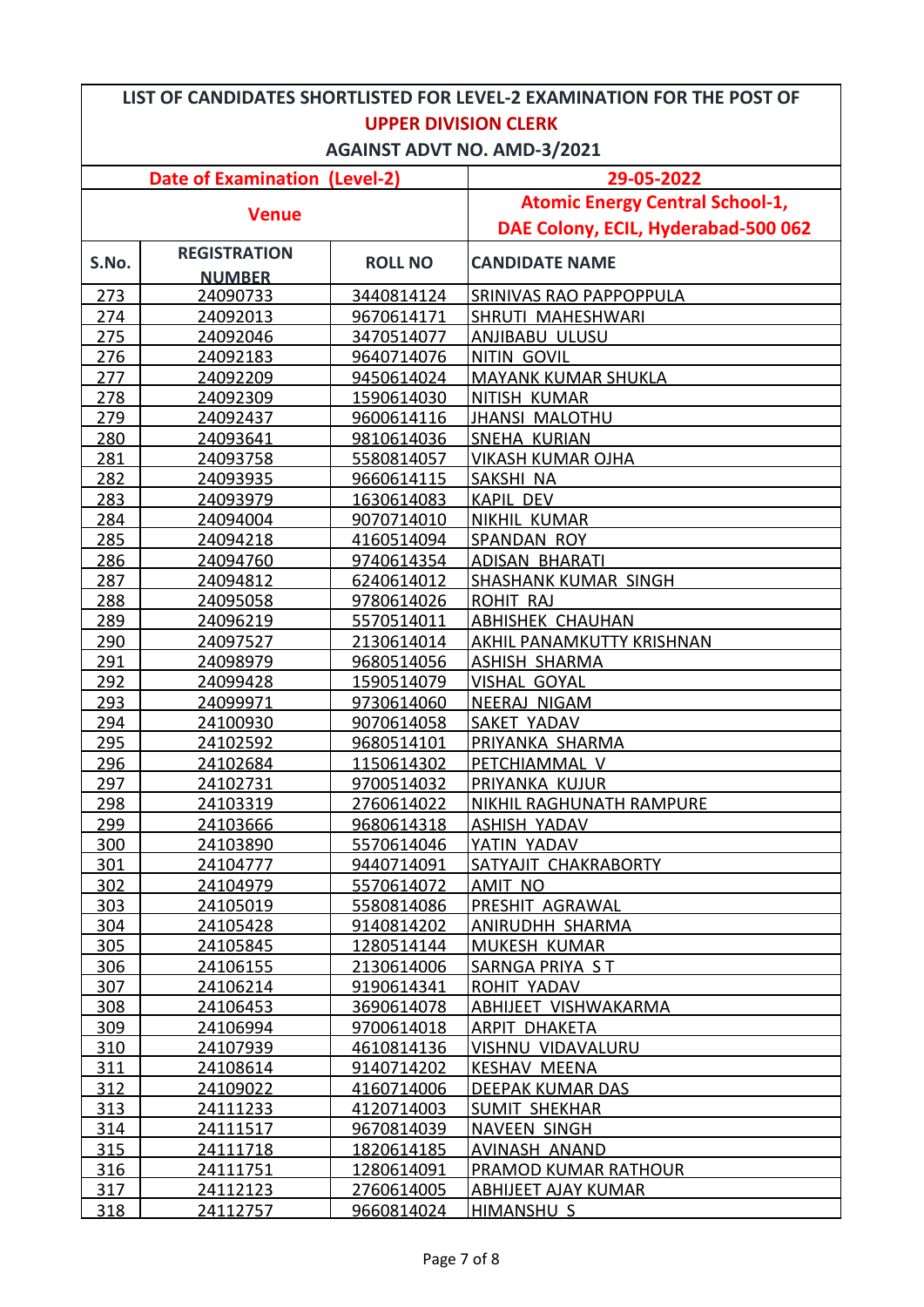| LIST OF CANDIDATES SHORTLISTED FOR LEVEL-2 EXAMINATION FOR THE POST OF |                     |                   |                                        |  |
|------------------------------------------------------------------------|---------------------|-------------------|----------------------------------------|--|
| <b>UPPER DIVISION CLERK</b>                                            |                     |                   |                                        |  |
| <b>AGAINST ADVT NO. AMD-3/2021</b>                                     |                     |                   |                                        |  |
| <b>Date of Examination (Level-2)</b>                                   |                     |                   | 29-05-2022                             |  |
|                                                                        |                     |                   | <b>Atomic Energy Central School-1,</b> |  |
| <b>Venue</b>                                                           |                     |                   | DAE Colony, ECIL, Hyderabad-500 062    |  |
|                                                                        | <b>REGISTRATION</b> |                   | <b>CANDIDATE NAME</b>                  |  |
| S.No.                                                                  | <b>NUMBER</b>       | <b>ROLL NO</b>    |                                        |  |
| 273                                                                    | 24090733            | 3440814124        | <b>SRINIVAS RAO PAPPOPPULA</b>         |  |
| 274                                                                    | 24092013            | 9670614171        | <b>SHRUTI MAHESHWARI</b>               |  |
| 275                                                                    | 24092046            | 3470514077        | ANJIBABU ULUSU                         |  |
| 276                                                                    | 24092183            | 9640714076        | <b>NITIN GOVIL</b>                     |  |
| 277                                                                    | 24092209            | 9450614024        | <b>MAYANK KUMAR SHUKLA</b>             |  |
| 278                                                                    | 24092309            | 1590614030        | NITISH KUMAR                           |  |
| 279                                                                    | 24092437            | 9600614116        | <b>JHANSI MALOTHU</b>                  |  |
| 280                                                                    | 24093641            | 9810614036        | <b>SNEHA KURIAN</b>                    |  |
| 281                                                                    | 24093758            | 5580814057        | <b>VIKASH KUMAR OJHA</b>               |  |
| 282                                                                    | 24093935            | 9660614115        | SAKSHI NA                              |  |
| 283                                                                    | 24093979            | 1630614083        | <b>KAPIL DEV</b>                       |  |
| 284                                                                    | 24094004            | 9070714010        | <b>NIKHIL KUMAR</b>                    |  |
| 285                                                                    | 24094218            | 4160514094        | SPANDAN ROY                            |  |
| 286                                                                    | 24094760            | 9740614354        | <b>ADISAN BHARATI</b>                  |  |
| 287                                                                    | 24094812            | 6240614012        | <b>SHASHANK KUMAR SINGH</b>            |  |
| 288                                                                    | 24095058            | 9780614026        | <b>ROHIT RAJ</b>                       |  |
| 289                                                                    | 24096219            | 5570514011        | <b>ABHISHEK CHAUHAN</b>                |  |
| 290                                                                    | 24097527            | 2130614014        | AKHIL PANAMKUTTY KRISHNAN              |  |
| 291                                                                    | 24098979            | 9680514056        | <b>ASHISH SHARMA</b>                   |  |
| 292                                                                    | 24099428            | 1590514079        | <b>VISHAL GOYAL</b>                    |  |
| 293                                                                    | 24099971            | 9730614060        | NEERAJ NIGAM                           |  |
| 294                                                                    | 24100930            | 9070614058        | <b>SAKET YADAV</b>                     |  |
| 295                                                                    | 24102592            | 9680514101        | PRIYANKA SHARMA                        |  |
| 296                                                                    | 24102684            | 1150614302        | PETCHIAMMAL V                          |  |
| 297                                                                    | 24102731            | 9700514032        | PRIYANKA KUJUR                         |  |
| 298                                                                    | 24103319            | 2760614022        | <b>NIKHIL RAGHUNATH RAMPURE</b>        |  |
| 299                                                                    | 24103666            | 9680614318        | <b>ASHISH YADAV</b>                    |  |
| 300                                                                    | 24103890            | 5570614046        | YATIN YADAV                            |  |
| 301                                                                    | 24104777            | 9440714091        | <b>SATYAJIT CHAKRABORTY</b>            |  |
| 302                                                                    | 24104979            | 5570614072        | AMIT NO                                |  |
| 303                                                                    | 24105019            | 5580814086        | PRESHIT AGRAWAL                        |  |
| 304                                                                    | 24105428            | 9140814202        | <b>ANIRUDHH SHARMA</b>                 |  |
| 305                                                                    | 24105845            | 1280514144        | <b>MUKESH KUMAR</b>                    |  |
| 306                                                                    | 24106155            | 2130614006        | SARNGA PRIYA ST                        |  |
| 307                                                                    | 24106214            | 9190614341        | ROHIT YADAV                            |  |
| 308                                                                    | 24106453            | 3690614078        | ABHIJEET VISHWAKARMA                   |  |
| 309                                                                    | 24106994            | 9700614018        | ARPIT DHAKETA                          |  |
| 310                                                                    | 24107939            | <u>4610814136</u> | VISHNU VIDAVALURU                      |  |
| 311                                                                    | 24108614            | 9140714202        | <b>KESHAV MEENA</b>                    |  |
| 312                                                                    | <u>24109022</u>     | 4160714006        | DEEPAK KUMAR DAS                       |  |
| 313                                                                    | 24111233            | 4120714003        | <b>SUMIT SHEKHAR</b>                   |  |
| 314                                                                    | 24111517            | 9670814039        | <b>NAVEEN SINGH</b>                    |  |
| 315                                                                    | 24111718            | 1820614185        | <b>AVINASH ANAND</b>                   |  |
| 316                                                                    | 24111751            | 1280614091        | <b>PRAMOD KUMAR RATHOUR</b>            |  |
| 317                                                                    | 24112123            | 2760614005        | <b>ABHIJEET AJAY KUMAR</b>             |  |
| 318                                                                    | 24112757            | 9660814024        | <b>HIMANSHU S</b>                      |  |